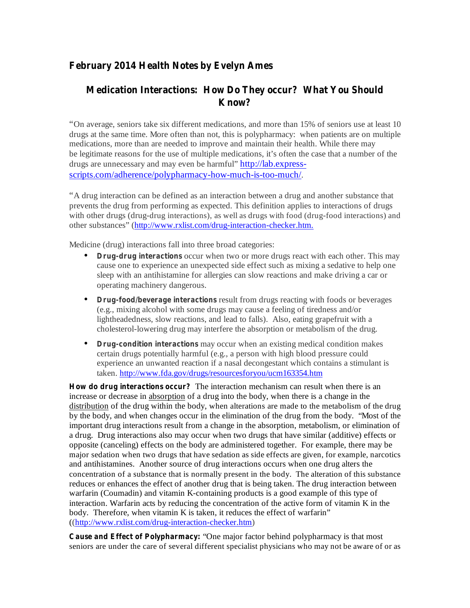## **February 2014 Health Notes by Evelyn Ames**

## **Medication Interactions: How Do They occur? What You Should Know?**

"On average, seniors take six different medications, and more than 15% of seniors use at least 10 drugs at the same time. More often than not, this is polypharmacy: when patients are on multiple medications, more than are needed to improve and maintain their health. While there may be legitimate reasons for the use of multiple medications, it's often the case that a number of the drugs are unnecessary and may even be harmful" http://lab.expressscripts.com/adherence/polypharmacy-how-much-is-too-much/.

"A drug interaction can be defined as an interaction between a drug and another substance that prevents the drug from performing as expected. This definition applies to interactions of drugs with other drugs (drug-drug interactions), as well as drugs with food (drug-food interactions) and other substances" (http://www.rxlist.com/drug-interaction-checker.htm.

Medicine (drug) interactions fall into three broad categories:

- **Drug-drug interactions** occur when two or more drugs react with each other. This may cause one to experience an unexpected side effect such as mixing a sedative to help one sleep with an antihistamine for allergies can slow reactions and make driving a car or operating machinery dangerous. •
- **Drug-food/beverage interactions** result from drugs reacting with foods or beverages (e.g., mixing alcohol with some drugs may cause a feeling of tiredness and/or lightheadedness, slow reactions, and lead to falls). Also, eating grapefruit with a cholesterol-lowering drug may interfere the absorption or metabolism of the drug.
- **•** Drug-condition interactions may occur when an existing medical condition makes certain drugs potentially harmful (e.g., a person with high blood pressure could experience an unwanted reaction if a nasal decongestant which contains a stimulant is taken. http://www.fda.gov/drugs/resourcesforyou/ucm163354.htm

**How do drug interactions occur?** The interaction mechanism can result when there is an increase or decrease in absorption of a drug into the body, when there is a change in the distribution of the drug within the body, when alterations are made to the metabolism of the drug by the body, and when changes occur in the elimination of the drug from the body. "Most of the important drug interactions result from a change in the absorption, metabolism, or elimination of a drug. Drug interactions also may occur when two drugs that have similar (additive) effects or opposite (canceling) effects on the body are administered together. For example, there may be major sedation when two drugs that have sedation as side effects are given, for example, narcotics and antihistamines. Another source of drug interactions occurs when one drug alters the concentration of a substance that is normally present in the body. The alteration of this substance reduces or enhances the effect of another drug that is being taken. The drug interaction between warfarin (Coumadin) and vitamin K-containing products is a good example of this type of interaction. Warfarin acts by reducing the concentration of the active form of vitamin K in the body. Therefore, when vitamin K is taken, it reduces the effect of warfarin" ((http://www.rxlist.com/drug-interaction-checker.htm)

**Cause and Effect of Polypharmacy:** "One major factor behind polypharmacy is that most seniors are under the care of several different specialist physicians who may not be aware of or as